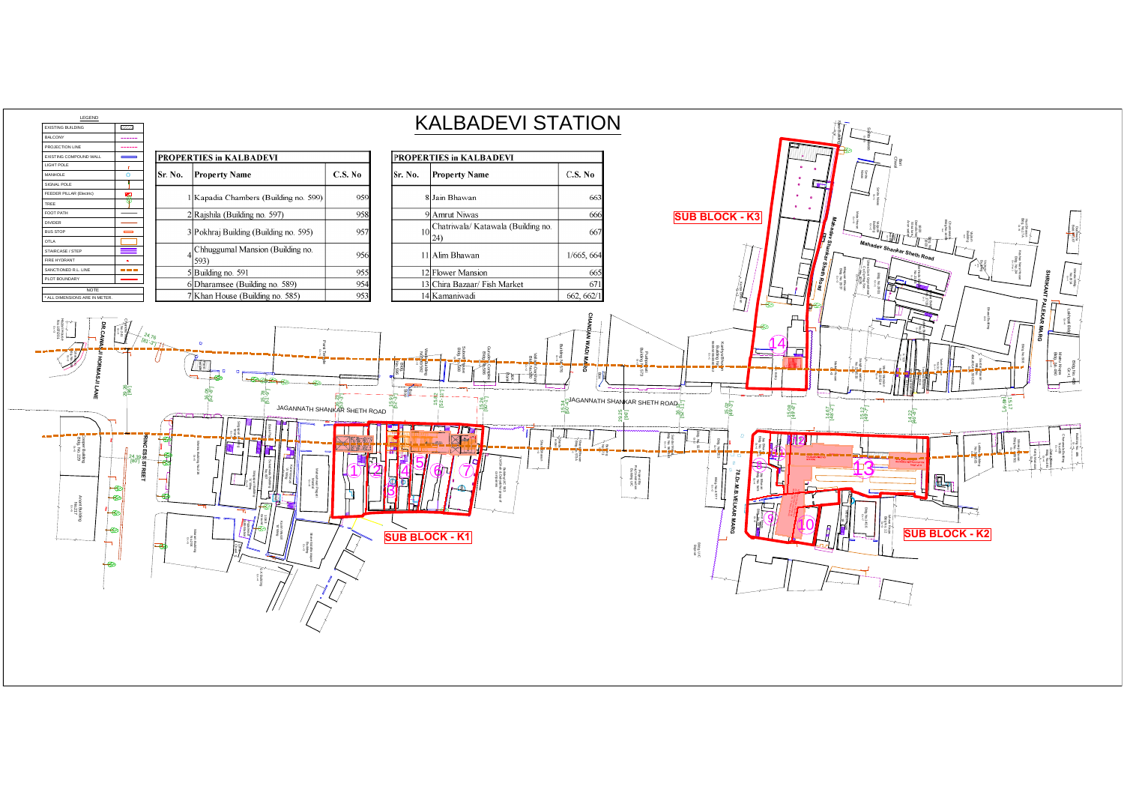